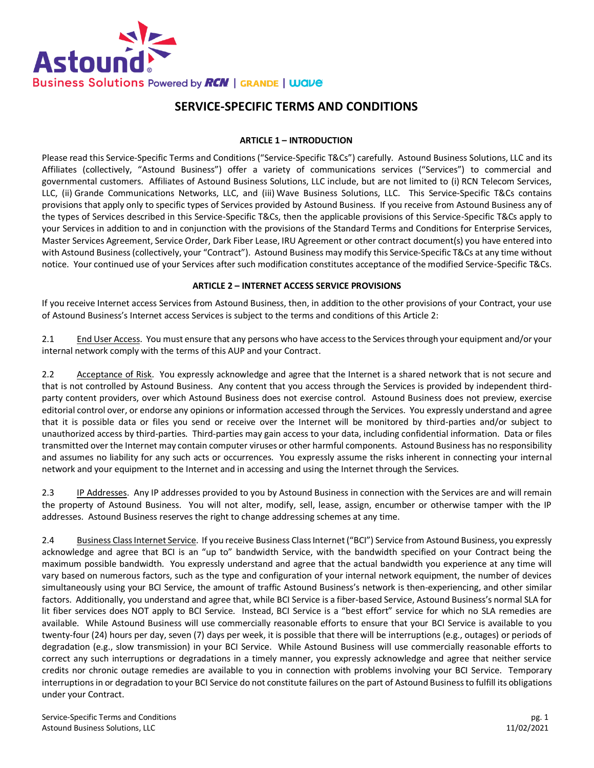

# **SERVICE-SPECIFIC TERMS AND CONDITIONS**

#### **ARTICLE 1 – INTRODUCTION**

Please read this Service-Specific Terms and Conditions ("Service-Specific T&Cs") carefully. Astound Business Solutions, LLC and its Affiliates (collectively, "Astound Business") offer a variety of communications services ("Services") to commercial and governmental customers. Affiliates of Astound Business Solutions, LLC include, but are not limited to (i) RCN Telecom Services, LLC, (ii) Grande Communications Networks, LLC, and (iii) Wave Business Solutions, LLC. This Service-Specific T&Cs contains provisions that apply only to specific types of Services provided by Astound Business. If you receive from Astound Business any of the types of Services described in this Service-Specific T&Cs, then the applicable provisions of this Service-Specific T&Cs apply to your Services in addition to and in conjunction with the provisions of the Standard Terms and Conditions for Enterprise Services, Master Services Agreement, Service Order, Dark Fiber Lease, IRU Agreement or other contract document(s) you have entered into with Astound Business(collectively, your "Contract"). Astound Business may modify this Service-Specific T&Cs at any time without notice. Your continued use of your Services after such modification constitutes acceptance of the modified Service-Specific T&Cs.

#### **ARTICLE 2 – INTERNET ACCESS SERVICE PROVISIONS**

If you receive Internet access Services from Astound Business, then, in addition to the other provisions of your Contract, your use of Astound Business's Internet access Services is subject to the terms and conditions of this Article 2:

2.1 End User Access. You must ensure that any persons who have access to the Services through your equipment and/or your internal network comply with the terms of this AUP and your Contract.

2.2 Acceptance of Risk. You expressly acknowledge and agree that the Internet is a shared network that is not secure and that is not controlled by Astound Business. Any content that you access through the Services is provided by independent thirdparty content providers, over which Astound Business does not exercise control. Astound Business does not preview, exercise editorial control over, or endorse any opinions or information accessed through the Services. You expressly understand and agree that it is possible data or files you send or receive over the Internet will be monitored by third-parties and/or subject to unauthorized access by third-parties. Third-parties may gain access to your data, including confidential information. Data or files transmitted over the Internet may contain computer viruses or other harmful components. Astound Business has no responsibility and assumes no liability for any such acts or occurrences. You expressly assume the risks inherent in connecting your internal network and your equipment to the Internet and in accessing and using the Internet through the Services.

2.3 IP Addresses. Any IP addresses provided to you by Astound Business in connection with the Services are and will remain the property of Astound Business. You will not alter, modify, sell, lease, assign, encumber or otherwise tamper with the IP addresses. Astound Business reserves the right to change addressing schemes at any time.

2.4 Business Class Internet Service. If you receive Business Class Internet ("BCI") Service from Astound Business, you expressly acknowledge and agree that BCI is an "up to" bandwidth Service, with the bandwidth specified on your Contract being the maximum possible bandwidth. You expressly understand and agree that the actual bandwidth you experience at any time will vary based on numerous factors, such as the type and configuration of your internal network equipment, the number of devices simultaneously using your BCI Service, the amount of traffic Astound Business's network is then-experiencing, and other similar factors. Additionally, you understand and agree that, while BCI Service is a fiber-based Service, Astound Business's normal SLA for lit fiber services does NOT apply to BCI Service. Instead, BCI Service is a "best effort" service for which no SLA remedies are available. While Astound Business will use commercially reasonable efforts to ensure that your BCI Service is available to you twenty-four (24) hours per day, seven (7) days per week, it is possible that there will be interruptions (e.g., outages) or periods of degradation (e.g., slow transmission) in your BCI Service. While Astound Business will use commercially reasonable efforts to correct any such interruptions or degradations in a timely manner, you expressly acknowledge and agree that neither service credits nor chronic outage remedies are available to you in connection with problems involving your BCI Service. Temporary interruptions in or degradation to your BCI Service do not constitute failures on the part of Astound Businessto fulfill its obligations under your Contract.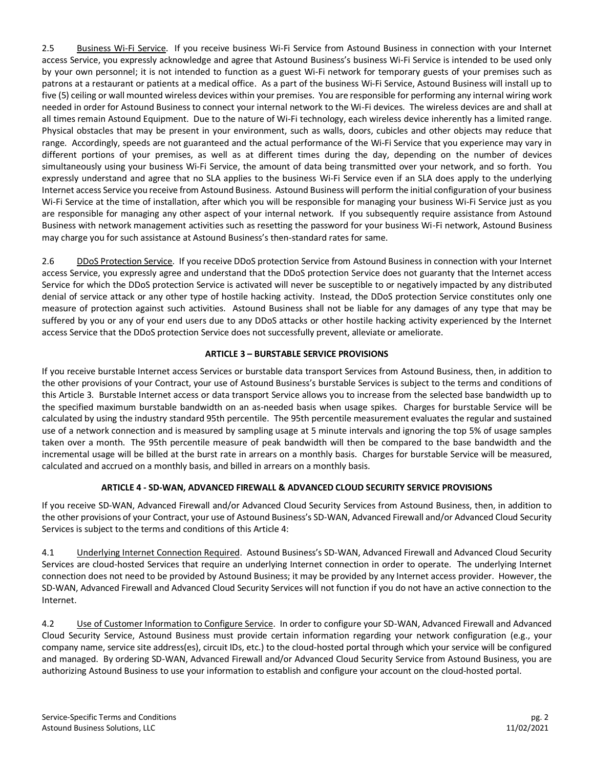2.5 Business Wi-Fi Service. If you receive business Wi-Fi Service from Astound Business in connection with your Internet access Service, you expressly acknowledge and agree that Astound Business's business Wi-Fi Service is intended to be used only by your own personnel; it is not intended to function as a guest Wi-Fi network for temporary guests of your premises such as patrons at a restaurant or patients at a medical office. As a part of the business Wi-Fi Service, Astound Business will install up to five (5) ceiling or wall mounted wireless devices within your premises. You are responsible for performing any internal wiring work needed in order for Astound Business to connect your internal network to the Wi-Fi devices. The wireless devices are and shall at all times remain Astound Equipment. Due to the nature of Wi-Fi technology, each wireless device inherently has a limited range. Physical obstacles that may be present in your environment, such as walls, doors, cubicles and other objects may reduce that range. Accordingly, speeds are not guaranteed and the actual performance of the Wi-Fi Service that you experience may vary in different portions of your premises, as well as at different times during the day, depending on the number of devices simultaneously using your business Wi-Fi Service, the amount of data being transmitted over your network, and so forth. You expressly understand and agree that no SLA applies to the business Wi-Fi Service even if an SLA does apply to the underlying Internet access Service you receive from Astound Business. Astound Business will perform the initial configuration of your business Wi-Fi Service at the time of installation, after which you will be responsible for managing your business Wi-Fi Service just as you are responsible for managing any other aspect of your internal network. If you subsequently require assistance from Astound Business with network management activities such as resetting the password for your business Wi-Fi network, Astound Business may charge you for such assistance at Astound Business's then-standard rates for same.

2.6 DDoS Protection Service. If you receive DDoS protection Service from Astound Business in connection with your Internet access Service, you expressly agree and understand that the DDoS protection Service does not guaranty that the Internet access Service for which the DDoS protection Service is activated will never be susceptible to or negatively impacted by any distributed denial of service attack or any other type of hostile hacking activity. Instead, the DDoS protection Service constitutes only one measure of protection against such activities. Astound Business shall not be liable for any damages of any type that may be suffered by you or any of your end users due to any DDoS attacks or other hostile hacking activity experienced by the Internet access Service that the DDoS protection Service does not successfully prevent, alleviate or ameliorate.

## **ARTICLE 3 – BURSTABLE SERVICE PROVISIONS**

If you receive burstable Internet access Services or burstable data transport Services from Astound Business, then, in addition to the other provisions of your Contract, your use of Astound Business's burstable Services is subject to the terms and conditions of this Article 3. Burstable Internet access or data transport Service allows you to increase from the selected base bandwidth up to the specified maximum burstable bandwidth on an as-needed basis when usage spikes. Charges for burstable Service will be calculated by using the industry standard 95th percentile. The 95th percentile measurement evaluates the regular and sustained use of a network connection and is measured by sampling usage at 5 minute intervals and ignoring the top 5% of usage samples taken over a month. The 95th percentile measure of peak bandwidth will then be compared to the base bandwidth and the incremental usage will be billed at the burst rate in arrears on a monthly basis. Charges for burstable Service will be measured, calculated and accrued on a monthly basis, and billed in arrears on a monthly basis.

## **ARTICLE 4 - SD-WAN, ADVANCED FIREWALL & ADVANCED CLOUD SECURITY SERVICE PROVISIONS**

If you receive SD-WAN, Advanced Firewall and/or Advanced Cloud Security Services from Astound Business, then, in addition to the other provisions of your Contract, your use of Astound Business's SD-WAN, Advanced Firewall and/or Advanced Cloud Security Services is subject to the terms and conditions of this Article 4:

4.1 Underlying Internet Connection Required. Astound Business's SD-WAN, Advanced Firewall and Advanced Cloud Security Services are cloud-hosted Services that require an underlying Internet connection in order to operate. The underlying Internet connection does not need to be provided by Astound Business; it may be provided by any Internet access provider. However, the SD-WAN, Advanced Firewall and Advanced Cloud Security Services will not function if you do not have an active connection to the Internet.

4.2 Use of Customer Information to Configure Service. In order to configure your SD-WAN, Advanced Firewall and Advanced Cloud Security Service, Astound Business must provide certain information regarding your network configuration (e.g., your company name, service site address(es), circuit IDs, etc.) to the cloud-hosted portal through which your service will be configured and managed. By ordering SD-WAN, Advanced Firewall and/or Advanced Cloud Security Service from Astound Business, you are authorizing Astound Business to use your information to establish and configure your account on the cloud-hosted portal.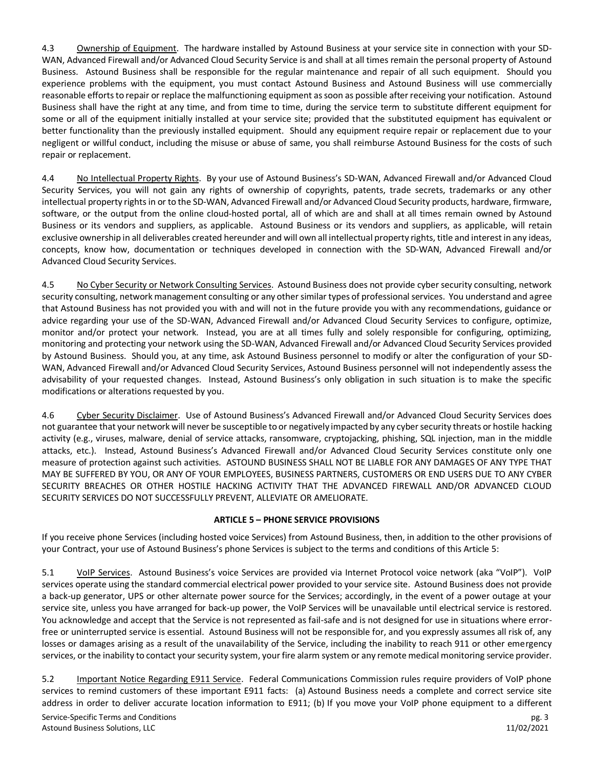4.3 Ownership of Equipment. The hardware installed by Astound Business at your service site in connection with your SD-WAN, Advanced Firewall and/or Advanced Cloud Security Service is and shall at all times remain the personal property of Astound Business. Astound Business shall be responsible for the regular maintenance and repair of all such equipment. Should you experience problems with the equipment, you must contact Astound Business and Astound Business will use commercially reasonable efforts to repair or replace the malfunctioning equipment as soon as possible after receiving your notification. Astound Business shall have the right at any time, and from time to time, during the service term to substitute different equipment for some or all of the equipment initially installed at your service site; provided that the substituted equipment has equivalent or better functionality than the previously installed equipment. Should any equipment require repair or replacement due to your negligent or willful conduct, including the misuse or abuse of same, you shall reimburse Astound Business for the costs of such repair or replacement.

4.4 No Intellectual Property Rights. By your use of Astound Business's SD-WAN, Advanced Firewall and/or Advanced Cloud Security Services, you will not gain any rights of ownership of copyrights, patents, trade secrets, trademarks or any other intellectual property rights in or to the SD-WAN, Advanced Firewall and/or Advanced Cloud Security products, hardware, firmware, software, or the output from the online cloud-hosted portal, all of which are and shall at all times remain owned by Astound Business or its vendors and suppliers, as applicable. Astound Business or its vendors and suppliers, as applicable, will retain exclusive ownership in all deliverables created hereunder and will own all intellectual property rights, title and interest in any ideas, concepts, know how, documentation or techniques developed in connection with the SD-WAN, Advanced Firewall and/or Advanced Cloud Security Services.

4.5 No Cyber Security or Network Consulting Services. Astound Business does not provide cyber security consulting, network security consulting, network management consulting or any other similar types of professional services. You understand and agree that Astound Business has not provided you with and will not in the future provide you with any recommendations, guidance or advice regarding your use of the SD-WAN, Advanced Firewall and/or Advanced Cloud Security Services to configure, optimize, monitor and/or protect your network. Instead, you are at all times fully and solely responsible for configuring, optimizing, monitoring and protecting your network using the SD-WAN, Advanced Firewall and/or Advanced Cloud Security Services provided by Astound Business. Should you, at any time, ask Astound Business personnel to modify or alter the configuration of your SD-WAN, Advanced Firewall and/or Advanced Cloud Security Services, Astound Business personnel will not independently assess the advisability of your requested changes. Instead, Astound Business's only obligation in such situation is to make the specific modifications or alterations requested by you.

4.6 Cyber Security Disclaimer. Use of Astound Business's Advanced Firewall and/or Advanced Cloud Security Services does not guarantee that your network will never be susceptible to or negatively impacted by any cyber security threats or hostile hacking activity (e.g., viruses, malware, denial of service attacks, ransomware, cryptojacking, phishing, SQL injection, man in the middle attacks, etc.). Instead, Astound Business's Advanced Firewall and/or Advanced Cloud Security Services constitute only one measure of protection against such activities. ASTOUND BUSINESS SHALL NOT BE LIABLE FOR ANY DAMAGES OF ANY TYPE THAT MAY BE SUFFERED BY YOU, OR ANY OF YOUR EMPLOYEES, BUSINESS PARTNERS, CUSTOMERS OR END USERS DUE TO ANY CYBER SECURITY BREACHES OR OTHER HOSTILE HACKING ACTIVITY THAT THE ADVANCED FIREWALL AND/OR ADVANCED CLOUD SECURITY SERVICES DO NOT SUCCESSFULLY PREVENT, ALLEVIATE OR AMELIORATE.

## **ARTICLE 5 – PHONE SERVICE PROVISIONS**

If you receive phone Services (including hosted voice Services) from Astound Business, then, in addition to the other provisions of your Contract, your use of Astound Business's phone Services is subject to the terms and conditions of this Article 5:

5.1 VoIP Services. Astound Business's voice Services are provided via Internet Protocol voice network (aka "VoIP"). VoIP services operate using the standard commercial electrical power provided to your service site. Astound Business does not provide a back-up generator, UPS or other alternate power source for the Services; accordingly, in the event of a power outage at your service site, unless you have arranged for back-up power, the VoIP Services will be unavailable until electrical service is restored. You acknowledge and accept that the Service is not represented as fail-safe and is not designed for use in situations where errorfree or uninterrupted service is essential. Astound Business will not be responsible for, and you expressly assumes all risk of, any losses or damages arising as a result of the unavailability of the Service, including the inability to reach 911 or other emergency services, or the inability to contact your security system, your fire alarm system or any remote medical monitoring service provider.

5.2 Important Notice Regarding E911 Service. Federal Communications Commission rules require providers of VoIP phone services to remind customers of these important E911 facts: (a) Astound Business needs a complete and correct service site address in order to deliver accurate location information to E911; (b) If you move your VoIP phone equipment to a different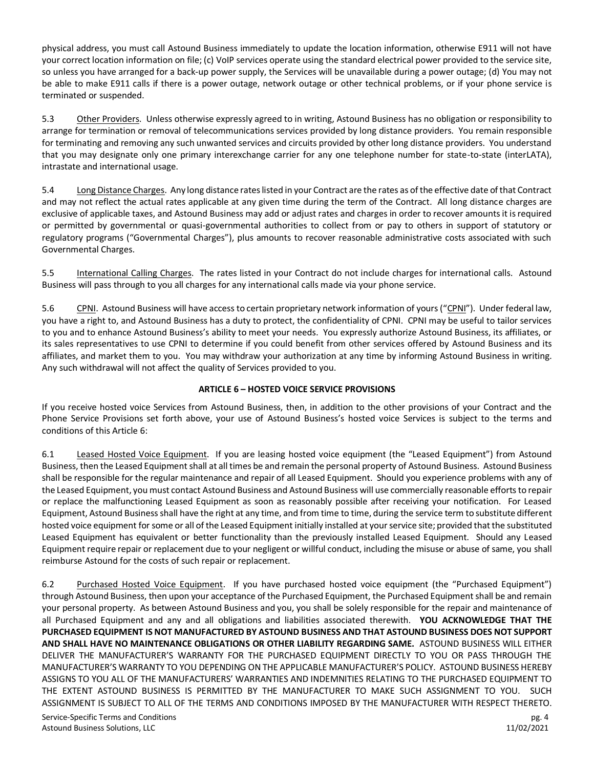physical address, you must call Astound Business immediately to update the location information, otherwise E911 will not have your correct location information on file; (c) VoIP services operate using the standard electrical power provided to the service site, so unless you have arranged for a back-up power supply, the Services will be unavailable during a power outage; (d) You may not be able to make E911 calls if there is a power outage, network outage or other technical problems, or if your phone service is terminated or suspended.

5.3 Other Providers. Unless otherwise expressly agreed to in writing, Astound Business has no obligation or responsibility to arrange for termination or removal of telecommunications services provided by long distance providers. You remain responsible for terminating and removing any such unwanted services and circuits provided by other long distance providers. You understand that you may designate only one primary interexchange carrier for any one telephone number for state-to-state (interLATA), intrastate and international usage.

5.4 Long Distance Charges. Any long distance rates listed in your Contract are the rates as of the effective date of that Contract and may not reflect the actual rates applicable at any given time during the term of the Contract. All long distance charges are exclusive of applicable taxes, and Astound Business may add or adjust rates and charges in order to recover amounts it is required or permitted by governmental or quasi-governmental authorities to collect from or pay to others in support of statutory or regulatory programs ("Governmental Charges"), plus amounts to recover reasonable administrative costs associated with such Governmental Charges.

5.5 International Calling Charges. The rates listed in your Contract do not include charges for international calls. Astound Business will pass through to you all charges for any international calls made via your phone service.

5.6 CPNI. Astound Business will have access to certain proprietary network information of yours ("CPNI"). Under federal law, you have a right to, and Astound Business has a duty to protect, the confidentiality of CPNI. CPNI may be useful to tailor services to you and to enhance Astound Business's ability to meet your needs. You expressly authorize Astound Business, its affiliates, or its sales representatives to use CPNI to determine if you could benefit from other services offered by Astound Business and its affiliates, and market them to you. You may withdraw your authorization at any time by informing Astound Business in writing. Any such withdrawal will not affect the quality of Services provided to you.

## **ARTICLE 6 – HOSTED VOICE SERVICE PROVISIONS**

If you receive hosted voice Services from Astound Business, then, in addition to the other provisions of your Contract and the Phone Service Provisions set forth above, your use of Astound Business's hosted voice Services is subject to the terms and conditions of this Article 6:

6.1 Leased Hosted Voice Equipment. If you are leasing hosted voice equipment (the "Leased Equipment") from Astound Business, then the Leased Equipment shall at all times be and remain the personal property of Astound Business. Astound Business shall be responsible for the regular maintenance and repair of all Leased Equipment. Should you experience problems with any of the Leased Equipment, you must contact Astound Business and Astound Business will use commercially reasonable efforts to repair or replace the malfunctioning Leased Equipment as soon as reasonably possible after receiving your notification. For Leased Equipment, Astound Businessshall have the right at any time, and from time to time, during the service term to substitute different hosted voice equipment for some or all of the Leased Equipment initially installed at your service site; provided that the substituted Leased Equipment has equivalent or better functionality than the previously installed Leased Equipment. Should any Leased Equipment require repair or replacement due to your negligent or willful conduct, including the misuse or abuse of same, you shall reimburse Astound for the costs of such repair or replacement.

6.2 Purchased Hosted Voice Equipment. If you have purchased hosted voice equipment (the "Purchased Equipment") through Astound Business, then upon your acceptance of the Purchased Equipment, the Purchased Equipment shall be and remain your personal property. As between Astound Business and you, you shall be solely responsible for the repair and maintenance of all Purchased Equipment and any and all obligations and liabilities associated therewith. **YOU ACKNOWLEDGE THAT THE PURCHASED EQUIPMENT IS NOT MANUFACTURED BY ASTOUND BUSINESS AND THAT ASTOUND BUSINESS DOES NOT SUPPORT AND SHALL HAVE NO MAINTENANCE OBLIGATIONS OR OTHER LIABILITY REGARDING SAME.** ASTOUND BUSINESS WILL EITHER DELIVER THE MANUFACTURER'S WARRANTY FOR THE PURCHASED EQUIPMENT DIRECTLY TO YOU OR PASS THROUGH THE MANUFACTURER'S WARRANTY TO YOU DEPENDING ON THE APPLICABLE MANUFACTURER'S POLICY. ASTOUND BUSINESS HEREBY ASSIGNS TO YOU ALL OF THE MANUFACTURERS' WARRANTIES AND INDEMNITIES RELATING TO THE PURCHASED EQUIPMENT TO THE EXTENT ASTOUND BUSINESS IS PERMITTED BY THE MANUFACTURER TO MAKE SUCH ASSIGNMENT TO YOU. SUCH ASSIGNMENT IS SUBJECT TO ALL OF THE TERMS AND CONDITIONS IMPOSED BY THE MANUFACTURER WITH RESPECT THERETO.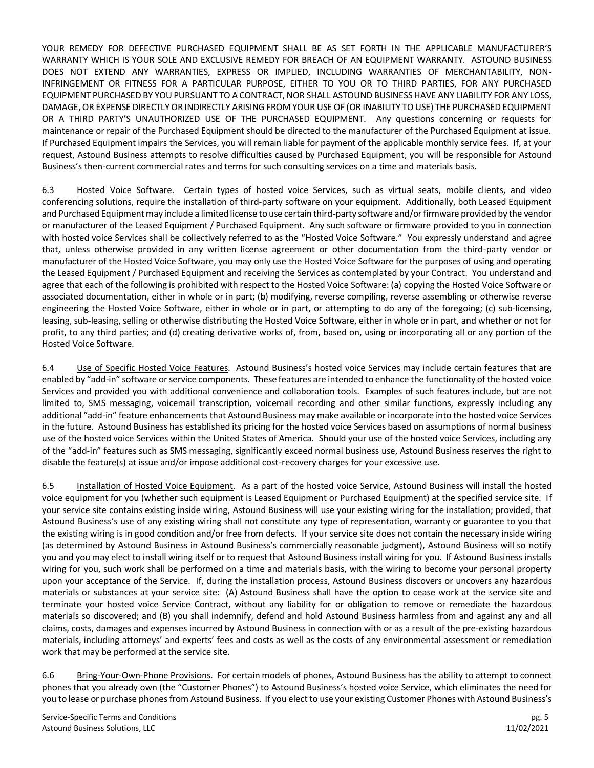YOUR REMEDY FOR DEFECTIVE PURCHASED EQUIPMENT SHALL BE AS SET FORTH IN THE APPLICABLE MANUFACTURER'S WARRANTY WHICH IS YOUR SOLE AND EXCLUSIVE REMEDY FOR BREACH OF AN EQUIPMENT WARRANTY. ASTOUND BUSINESS DOES NOT EXTEND ANY WARRANTIES, EXPRESS OR IMPLIED, INCLUDING WARRANTIES OF MERCHANTABILITY, NON-INFRINGEMENT OR FITNESS FOR A PARTICULAR PURPOSE, EITHER TO YOU OR TO THIRD PARTIES, FOR ANY PURCHASED EQUIPMENT PURCHASED BY YOU PURSUANT TO A CONTRACT, NOR SHALL ASTOUND BUSINESS HAVE ANY LIABILITY FOR ANY LOSS, DAMAGE, OR EXPENSE DIRECTLY OR INDIRECTLY ARISING FROM YOUR USE OF (OR INABILITY TO USE) THE PURCHASED EQUIPMENT OR A THIRD PARTY'S UNAUTHORIZED USE OF THE PURCHASED EQUIPMENT. Any questions concerning or requests for maintenance or repair of the Purchased Equipment should be directed to the manufacturer of the Purchased Equipment at issue. If Purchased Equipment impairs the Services, you will remain liable for payment of the applicable monthly service fees. If, at your request, Astound Business attempts to resolve difficulties caused by Purchased Equipment, you will be responsible for Astound Business's then-current commercial rates and terms for such consulting services on a time and materials basis.

6.3 Hosted Voice Software. Certain types of hosted voice Services, such as virtual seats, mobile clients, and video conferencing solutions, require the installation of third-party software on your equipment. Additionally, both Leased Equipment and Purchased Equipment may include a limited license to use certain third-party software and/or firmware provided by the vendor or manufacturer of the Leased Equipment / Purchased Equipment. Any such software or firmware provided to you in connection with hosted voice Services shall be collectively referred to as the "Hosted Voice Software." You expressly understand and agree that, unless otherwise provided in any written license agreement or other documentation from the third-party vendor or manufacturer of the Hosted Voice Software, you may only use the Hosted Voice Software for the purposes of using and operating the Leased Equipment / Purchased Equipment and receiving the Services as contemplated by your Contract. You understand and agree that each of the following is prohibited with respect to the Hosted Voice Software: (a) copying the Hosted Voice Software or associated documentation, either in whole or in part; (b) modifying, reverse compiling, reverse assembling or otherwise reverse engineering the Hosted Voice Software, either in whole or in part, or attempting to do any of the foregoing; (c) sub-licensing, leasing, sub-leasing, selling or otherwise distributing the Hosted Voice Software, either in whole or in part, and whether or not for profit, to any third parties; and (d) creating derivative works of, from, based on, using or incorporating all or any portion of the Hosted Voice Software.

6.4 Use of Specific Hosted Voice Features. Astound Business's hosted voice Services may include certain features that are enabled by "add-in" software or service components. These features are intended to enhance the functionality of the hosted voice Services and provided you with additional convenience and collaboration tools. Examples of such features include, but are not limited to, SMS messaging, voicemail transcription, voicemail recording and other similar functions, expressly including any additional "add-in" feature enhancements that Astound Business may make available or incorporate into the hosted voice Services in the future. Astound Business has established its pricing for the hosted voice Services based on assumptions of normal business use of the hosted voice Services within the United States of America. Should your use of the hosted voice Services, including any of the "add-in" features such as SMS messaging, significantly exceed normal business use, Astound Business reserves the right to disable the feature(s) at issue and/or impose additional cost-recovery charges for your excessive use.

6.5 Installation of Hosted Voice Equipment. As a part of the hosted voice Service, Astound Business will install the hosted voice equipment for you (whether such equipment is Leased Equipment or Purchased Equipment) at the specified service site. If your service site contains existing inside wiring, Astound Business will use your existing wiring for the installation; provided, that Astound Business's use of any existing wiring shall not constitute any type of representation, warranty or guarantee to you that the existing wiring is in good condition and/or free from defects. If your service site does not contain the necessary inside wiring (as determined by Astound Business in Astound Business's commercially reasonable judgment), Astound Business will so notify you and you may elect to install wiring itself or to request that Astound Business install wiring for you. If Astound Business installs wiring for you, such work shall be performed on a time and materials basis, with the wiring to become your personal property upon your acceptance of the Service. If, during the installation process, Astound Business discovers or uncovers any hazardous materials or substances at your service site: (A) Astound Business shall have the option to cease work at the service site and terminate your hosted voice Service Contract, without any liability for or obligation to remove or remediate the hazardous materials so discovered; and (B) you shall indemnify, defend and hold Astound Business harmless from and against any and all claims, costs, damages and expenses incurred by Astound Business in connection with or as a result of the pre-existing hazardous materials, including attorneys' and experts' fees and costs as well as the costs of any environmental assessment or remediation work that may be performed at the service site.

6.6 Bring-Your-Own-Phone Provisions. For certain models of phones, Astound Business has the ability to attempt to connect phones that you already own (the "Customer Phones") to Astound Business's hosted voice Service, which eliminates the need for you to lease or purchase phones from Astound Business. If you elect to use your existing Customer Phones with Astound Business's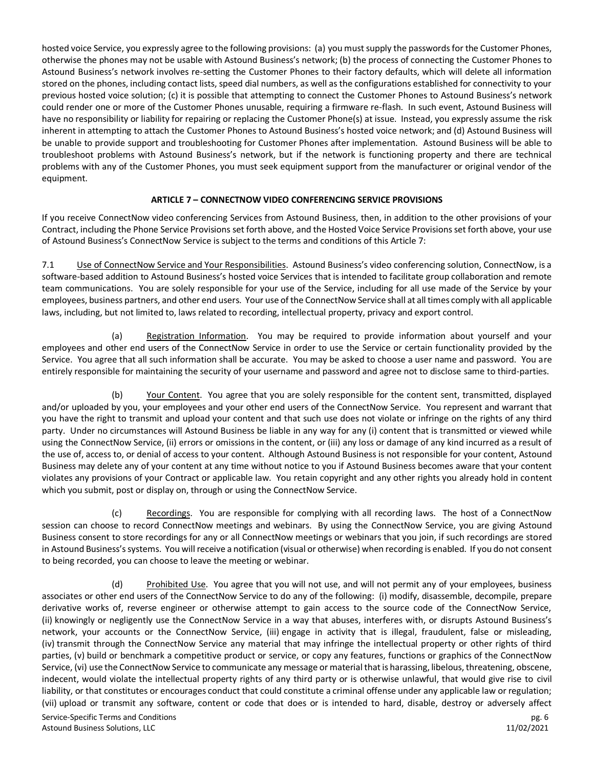hosted voice Service, you expressly agree to the following provisions: (a) you must supply the passwords for the Customer Phones, otherwise the phones may not be usable with Astound Business's network; (b) the process of connecting the Customer Phones to Astound Business's network involves re-setting the Customer Phones to their factory defaults, which will delete all information stored on the phones, including contact lists, speed dial numbers, as well as the configurations established for connectivity to your previous hosted voice solution; (c) it is possible that attempting to connect the Customer Phones to Astound Business's network could render one or more of the Customer Phones unusable, requiring a firmware re-flash. In such event, Astound Business will have no responsibility or liability for repairing or replacing the Customer Phone(s) at issue. Instead, you expressly assume the risk inherent in attempting to attach the Customer Phones to Astound Business's hosted voice network; and (d) Astound Business will be unable to provide support and troubleshooting for Customer Phones after implementation. Astound Business will be able to troubleshoot problems with Astound Business's network, but if the network is functioning property and there are technical problems with any of the Customer Phones, you must seek equipment support from the manufacturer or original vendor of the equipment.

#### **ARTICLE 7 – CONNECTNOW VIDEO CONFERENCING SERVICE PROVISIONS**

If you receive ConnectNow video conferencing Services from Astound Business, then, in addition to the other provisions of your Contract, including the Phone Service Provisions set forth above, and the Hosted Voice Service Provisions set forth above, your use of Astound Business's ConnectNow Service is subject to the terms and conditions of this Article 7:

7.1 Use of ConnectNow Service and Your Responsibilities. Astound Business's video conferencing solution, ConnectNow, is a software-based addition to Astound Business's hosted voice Services that is intended to facilitate group collaboration and remote team communications. You are solely responsible for your use of the Service, including for all use made of the Service by your employees, business partners, and other end users. Your use of the ConnectNow Service shall at all times comply with all applicable laws, including, but not limited to, laws related to recording, intellectual property, privacy and export control.

(a) Registration Information. You may be required to provide information about yourself and your employees and other end users of the ConnectNow Service in order to use the Service or certain functionality provided by the Service. You agree that all such information shall be accurate. You may be asked to choose a user name and password. You are entirely responsible for maintaining the security of your username and password and agree not to disclose same to third-parties.

(b) Your Content. You agree that you are solely responsible for the content sent, transmitted, displayed and/or uploaded by you, your employees and your other end users of the ConnectNow Service. You represent and warrant that you have the right to transmit and upload your content and that such use does not violate or infringe on the rights of any third party. Under no circumstances will Astound Business be liable in any way for any (i) content that is transmitted or viewed while using the ConnectNow Service, (ii) errors or omissions in the content, or (iii) any loss or damage of any kind incurred as a result of the use of, access to, or denial of access to your content. Although Astound Business is not responsible for your content, Astound Business may delete any of your content at any time without notice to you if Astound Business becomes aware that your content violates any provisions of your Contract or applicable law. You retain copyright and any other rights you already hold in content which you submit, post or display on, through or using the ConnectNow Service.

(c) Recordings. You are responsible for complying with all recording laws. The host of a ConnectNow session can choose to record ConnectNow meetings and webinars. By using the ConnectNow Service, you are giving Astound Business consent to store recordings for any or all ConnectNow meetings or webinars that you join, if such recordings are stored in Astound Business's systems. You will receive a notification (visual or otherwise) when recording is enabled. If you do not consent to being recorded, you can choose to leave the meeting or webinar.

(d) Prohibited Use. You agree that you will not use, and will not permit any of your employees, business associates or other end users of the ConnectNow Service to do any of the following: (i) modify, disassemble, decompile, prepare derivative works of, reverse engineer or otherwise attempt to gain access to the source code of the ConnectNow Service, (ii) knowingly or negligently use the ConnectNow Service in a way that abuses, interferes with, or disrupts Astound Business's network, your accounts or the ConnectNow Service, (iii) engage in activity that is illegal, fraudulent, false or misleading, (iv) transmit through the ConnectNow Service any material that may infringe the intellectual property or other rights of third parties, (v) build or benchmark a competitive product or service, or copy any features, functions or graphics of the ConnectNow Service, (vi) use the ConnectNow Service to communicate any message or material that is harassing, libelous, threatening, obscene, indecent, would violate the intellectual property rights of any third party or is otherwise unlawful, that would give rise to civil liability, or that constitutes or encourages conduct that could constitute a criminal offense under any applicable law or regulation; (vii) upload or transmit any software, content or code that does or is intended to hard, disable, destroy or adversely affect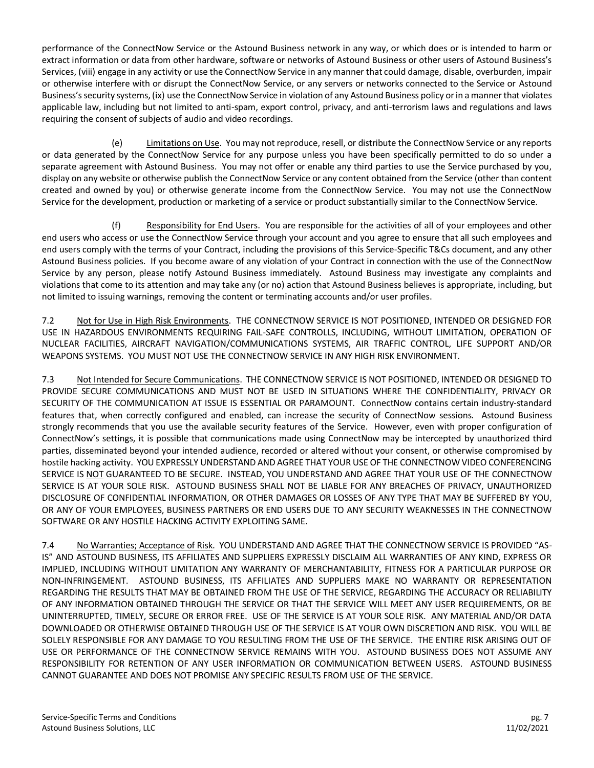performance of the ConnectNow Service or the Astound Business network in any way, or which does or is intended to harm or extract information or data from other hardware, software or networks of Astound Business or other users of Astound Business's Services, (viii) engage in any activity or use the ConnectNow Service in any manner that could damage, disable, overburden, impair or otherwise interfere with or disrupt the ConnectNow Service, or any servers or networks connected to the Service or Astound Business's security systems, (ix) use the ConnectNow Service in violation of any Astound Business policy or in a manner that violates applicable law, including but not limited to anti-spam, export control, privacy, and anti-terrorism laws and regulations and laws requiring the consent of subjects of audio and video recordings.

(e) Limitations on Use. You may not reproduce, resell, or distribute the ConnectNow Service or any reports or data generated by the ConnectNow Service for any purpose unless you have been specifically permitted to do so under a separate agreement with Astound Business. You may not offer or enable any third parties to use the Service purchased by you, display on any website or otherwise publish the ConnectNow Service or any content obtained from the Service (other than content created and owned by you) or otherwise generate income from the ConnectNow Service. You may not use the ConnectNow Service for the development, production or marketing of a service or product substantially similar to the ConnectNow Service.

(f) Responsibility for End Users. You are responsible for the activities of all of your employees and other end users who access or use the ConnectNow Service through your account and you agree to ensure that all such employees and end users comply with the terms of your Contract, including the provisions of this Service-Specific T&Cs document, and any other Astound Business policies. If you become aware of any violation of your Contract in connection with the use of the ConnectNow Service by any person, please notify Astound Business immediately. Astound Business may investigate any complaints and violations that come to its attention and may take any (or no) action that Astound Business believes is appropriate, including, but not limited to issuing warnings, removing the content or terminating accounts and/or user profiles.

7.2 Not for Use in High Risk Environments. THE CONNECTNOW SERVICE IS NOT POSITIONED, INTENDED OR DESIGNED FOR USE IN HAZARDOUS ENVIRONMENTS REQUIRING FAIL-SAFE CONTROLLS, INCLUDING, WITHOUT LIMITATION, OPERATION OF NUCLEAR FACILITIES, AIRCRAFT NAVIGATION/COMMUNICATIONS SYSTEMS, AIR TRAFFIC CONTROL, LIFE SUPPORT AND/OR WEAPONS SYSTEMS. YOU MUST NOT USE THE CONNECTNOW SERVICE IN ANY HIGH RISK ENVIRONMENT.

7.3 Not Intended for Secure Communications. THE CONNECTNOW SERVICE IS NOT POSITIONED, INTENDED OR DESIGNED TO PROVIDE SECURE COMMUNICATIONS AND MUST NOT BE USED IN SITUATIONS WHERE THE CONFIDENTIALITY, PRIVACY OR SECURITY OF THE COMMUNICATION AT ISSUE IS ESSENTIAL OR PARAMOUNT. ConnectNow contains certain industry-standard features that, when correctly configured and enabled, can increase the security of ConnectNow sessions. Astound Business strongly recommends that you use the available security features of the Service. However, even with proper configuration of ConnectNow's settings, it is possible that communications made using ConnectNow may be intercepted by unauthorized third parties, disseminated beyond your intended audience, recorded or altered without your consent, or otherwise compromised by hostile hacking activity. YOU EXPRESSLY UNDERSTAND AND AGREE THAT YOUR USE OF THE CONNECTNOW VIDEO CONFERENCING SERVICE IS NOT GUARANTEED TO BE SECURE. INSTEAD, YOU UNDERSTAND AND AGREE THAT YOUR USE OF THE CONNECTNOW SERVICE IS AT YOUR SOLE RISK. ASTOUND BUSINESS SHALL NOT BE LIABLE FOR ANY BREACHES OF PRIVACY, UNAUTHORIZED DISCLOSURE OF CONFIDENTIAL INFORMATION, OR OTHER DAMAGES OR LOSSES OF ANY TYPE THAT MAY BE SUFFERED BY YOU, OR ANY OF YOUR EMPLOYEES, BUSINESS PARTNERS OR END USERS DUE TO ANY SECURITY WEAKNESSES IN THE CONNECTNOW SOFTWARE OR ANY HOSTILE HACKING ACTIVITY EXPLOITING SAME.

7.4 No Warranties; Acceptance of Risk. YOU UNDERSTAND AND AGREE THAT THE CONNECTNOW SERVICE IS PROVIDED "AS-IS" AND ASTOUND BUSINESS, ITS AFFILIATES AND SUPPLIERS EXPRESSLY DISCLAIM ALL WARRANTIES OF ANY KIND, EXPRESS OR IMPLIED, INCLUDING WITHOUT LIMITATION ANY WARRANTY OF MERCHANTABILITY, FITNESS FOR A PARTICULAR PURPOSE OR NON-INFRINGEMENT. ASTOUND BUSINESS, ITS AFFILIATES AND SUPPLIERS MAKE NO WARRANTY OR REPRESENTATION REGARDING THE RESULTS THAT MAY BE OBTAINED FROM THE USE OF THE SERVICE, REGARDING THE ACCURACY OR RELIABILITY OF ANY INFORMATION OBTAINED THROUGH THE SERVICE OR THAT THE SERVICE WILL MEET ANY USER REQUIREMENTS, OR BE UNINTERRUPTED, TIMELY, SECURE OR ERROR FREE. USE OF THE SERVICE IS AT YOUR SOLE RISK. ANY MATERIAL AND/OR DATA DOWNLOADED OR OTHERWISE OBTAINED THROUGH USE OF THE SERVICE IS AT YOUR OWN DISCRETION AND RISK. YOU WILL BE SOLELY RESPONSIBLE FOR ANY DAMAGE TO YOU RESULTING FROM THE USE OF THE SERVICE. THE ENTIRE RISK ARISING OUT OF USE OR PERFORMANCE OF THE CONNECTNOW SERVICE REMAINS WITH YOU. ASTOUND BUSINESS DOES NOT ASSUME ANY RESPONSIBILITY FOR RETENTION OF ANY USER INFORMATION OR COMMUNICATION BETWEEN USERS. ASTOUND BUSINESS CANNOT GUARANTEE AND DOES NOT PROMISE ANY SPECIFIC RESULTS FROM USE OF THE SERVICE.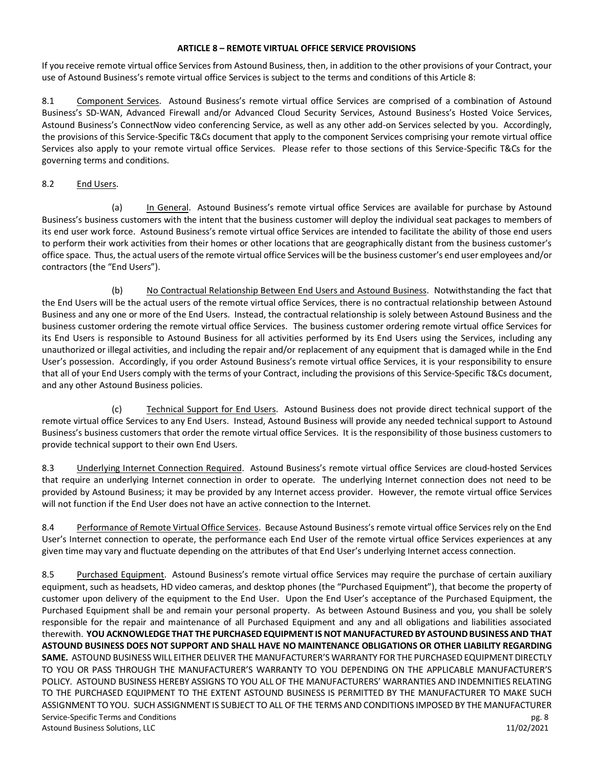#### **ARTICLE 8 – REMOTE VIRTUAL OFFICE SERVICE PROVISIONS**

If you receive remote virtual office Services from Astound Business, then, in addition to the other provisions of your Contract, your use of Astound Business's remote virtual office Services is subject to the terms and conditions of this Article 8:

8.1 Component Services. Astound Business's remote virtual office Services are comprised of a combination of Astound Business's SD-WAN, Advanced Firewall and/or Advanced Cloud Security Services, Astound Business's Hosted Voice Services, Astound Business's ConnectNow video conferencing Service, as well as any other add-on Services selected by you. Accordingly, the provisions of this Service-Specific T&Cs document that apply to the component Services comprising your remote virtual office Services also apply to your remote virtual office Services. Please refer to those sections of this Service-Specific T&Cs for the governing terms and conditions.

#### 8.2 End Users.

(a) In General. Astound Business's remote virtual office Services are available for purchase by Astound Business's business customers with the intent that the business customer will deploy the individual seat packages to members of its end user work force. Astound Business's remote virtual office Services are intended to facilitate the ability of those end users to perform their work activities from their homes or other locations that are geographically distant from the business customer's office space. Thus, the actual users of the remote virtual office Services will be the business customer's end user employees and/or contractors (the "End Users").

(b) No Contractual Relationship Between End Users and Astound Business. Notwithstanding the fact that the End Users will be the actual users of the remote virtual office Services, there is no contractual relationship between Astound Business and any one or more of the End Users. Instead, the contractual relationship is solely between Astound Business and the business customer ordering the remote virtual office Services. The business customer ordering remote virtual office Services for its End Users is responsible to Astound Business for all activities performed by its End Users using the Services, including any unauthorized or illegal activities, and including the repair and/or replacement of any equipment that is damaged while in the End User's possession. Accordingly, if you order Astound Business's remote virtual office Services, it is your responsibility to ensure that all of your End Users comply with the terms of your Contract, including the provisions of this Service-Specific T&Cs document, and any other Astound Business policies.

(c) Technical Support for End Users. Astound Business does not provide direct technical support of the remote virtual office Services to any End Users. Instead, Astound Business will provide any needed technical support to Astound Business's business customers that order the remote virtual office Services. It is the responsibility of those business customers to provide technical support to their own End Users.

8.3 Underlying Internet Connection Required. Astound Business's remote virtual office Services are cloud-hosted Services that require an underlying Internet connection in order to operate. The underlying Internet connection does not need to be provided by Astound Business; it may be provided by any Internet access provider. However, the remote virtual office Services will not function if the End User does not have an active connection to the Internet.

8.4 Performance of Remote Virtual Office Services. Because Astound Business's remote virtual office Services rely on the End User's Internet connection to operate, the performance each End User of the remote virtual office Services experiences at any given time may vary and fluctuate depending on the attributes of that End User's underlying Internet access connection.

Service-Specific Terms and Conditions pg. 8 Astound Business Solutions, LLC 11/02/2021 8.5 Purchased Equipment. Astound Business's remote virtual office Services may require the purchase of certain auxiliary equipment, such as headsets, HD video cameras, and desktop phones (the "Purchased Equipment"), that become the property of customer upon delivery of the equipment to the End User. Upon the End User's acceptance of the Purchased Equipment, the Purchased Equipment shall be and remain your personal property. As between Astound Business and you, you shall be solely responsible for the repair and maintenance of all Purchased Equipment and any and all obligations and liabilities associated therewith. **YOU ACKNOWLEDGE THAT THE PURCHASED EQUIPMENT IS NOT MANUFACTURED BY ASTOUNDBUSINESSAND THAT ASTOUND BUSINESS DOES NOT SUPPORT AND SHALL HAVE NO MAINTENANCE OBLIGATIONS OR OTHER LIABILITY REGARDING SAME.** ASTOUND BUSINESS WILL EITHER DELIVER THE MANUFACTURER'S WARRANTY FOR THE PURCHASED EQUIPMENT DIRECTLY TO YOU OR PASS THROUGH THE MANUFACTURER'S WARRANTY TO YOU DEPENDING ON THE APPLICABLE MANUFACTURER'S POLICY. ASTOUND BUSINESS HEREBY ASSIGNS TO YOU ALL OF THE MANUFACTURERS' WARRANTIES AND INDEMNITIES RELATING TO THE PURCHASED EQUIPMENT TO THE EXTENT ASTOUND BUSINESS IS PERMITTED BY THE MANUFACTURER TO MAKE SUCH ASSIGNMENT TO YOU. SUCH ASSIGNMENT IS SUBJECT TO ALL OF THE TERMS AND CONDITIONS IMPOSED BY THE MANUFACTURER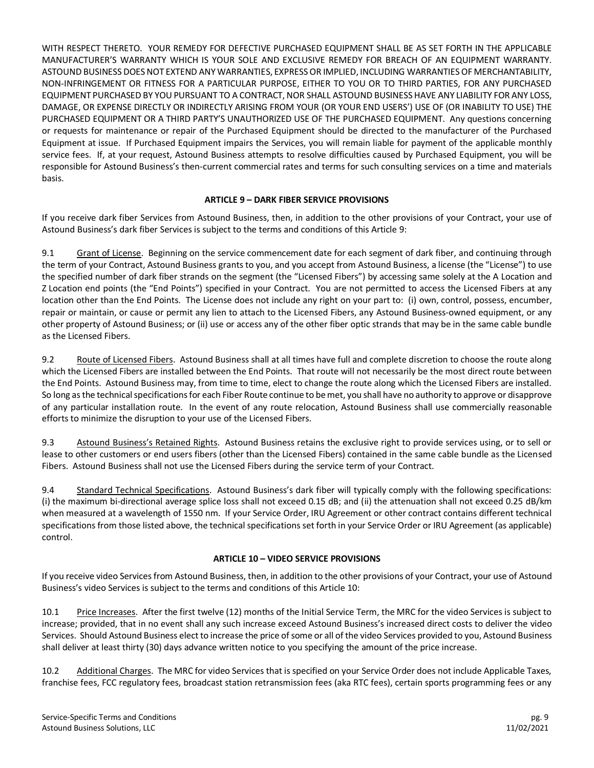WITH RESPECT THERETO. YOUR REMEDY FOR DEFECTIVE PURCHASED EQUIPMENT SHALL BE AS SET FORTH IN THE APPLICABLE MANUFACTURER'S WARRANTY WHICH IS YOUR SOLE AND EXCLUSIVE REMEDY FOR BREACH OF AN EQUIPMENT WARRANTY. ASTOUND BUSINESS DOES NOT EXTEND ANY WARRANTIES, EXPRESS OR IMPLIED, INCLUDING WARRANTIES OF MERCHANTABILITY, NON-INFRINGEMENT OR FITNESS FOR A PARTICULAR PURPOSE, EITHER TO YOU OR TO THIRD PARTIES, FOR ANY PURCHASED EQUIPMENT PURCHASED BY YOU PURSUANT TO A CONTRACT, NOR SHALL ASTOUND BUSINESS HAVE ANY LIABILITY FOR ANY LOSS, DAMAGE, OR EXPENSE DIRECTLY OR INDIRECTLY ARISING FROM YOUR (OR YOUR END USERS') USE OF (OR INABILITY TO USE) THE PURCHASED EQUIPMENT OR A THIRD PARTY'S UNAUTHORIZED USE OF THE PURCHASED EQUIPMENT. Any questions concerning or requests for maintenance or repair of the Purchased Equipment should be directed to the manufacturer of the Purchased Equipment at issue. If Purchased Equipment impairs the Services, you will remain liable for payment of the applicable monthly service fees. If, at your request, Astound Business attempts to resolve difficulties caused by Purchased Equipment, you will be responsible for Astound Business's then-current commercial rates and terms for such consulting services on a time and materials basis.

## **ARTICLE 9 – DARK FIBER SERVICE PROVISIONS**

If you receive dark fiber Services from Astound Business, then, in addition to the other provisions of your Contract, your use of Astound Business's dark fiber Services is subject to the terms and conditions of this Article 9:

9.1 Grant of License. Beginning on the service commencement date for each segment of dark fiber, and continuing through the term of your Contract, Astound Business grants to you, and you accept from Astound Business, a license (the "License") to use the specified number of dark fiber strands on the segment (the "Licensed Fibers") by accessing same solely at the A Location and Z Location end points (the "End Points") specified in your Contract. You are not permitted to access the Licensed Fibers at any location other than the End Points. The License does not include any right on your part to: (i) own, control, possess, encumber, repair or maintain, or cause or permit any lien to attach to the Licensed Fibers, any Astound Business-owned equipment, or any other property of Astound Business; or (ii) use or access any of the other fiber optic strands that may be in the same cable bundle as the Licensed Fibers.

9.2 Route of Licensed Fibers. Astound Business shall at all times have full and complete discretion to choose the route along which the Licensed Fibers are installed between the End Points. That route will not necessarily be the most direct route between the End Points. Astound Business may, from time to time, elect to change the route along which the Licensed Fibers are installed. So long as the technical specifications for each Fiber Route continue to be met, you shall have no authority to approve or disapprove of any particular installation route. In the event of any route relocation, Astound Business shall use commercially reasonable efforts to minimize the disruption to your use of the Licensed Fibers.

9.3 Astound Business's Retained Rights. Astound Business retains the exclusive right to provide services using, or to sell or lease to other customers or end users fibers (other than the Licensed Fibers) contained in the same cable bundle as the Licensed Fibers. Astound Business shall not use the Licensed Fibers during the service term of your Contract.

9.4 Standard Technical Specifications. Astound Business's dark fiber will typically comply with the following specifications: (i) the maximum bi-directional average splice loss shall not exceed 0.15 dB; and (ii) the attenuation shall not exceed 0.25 dB/km when measured at a wavelength of 1550 nm. If your Service Order, IRU Agreement or other contract contains different technical specifications from those listed above, the technical specifications set forth in your Service Order or IRU Agreement (as applicable) control.

## **ARTICLE 10 – VIDEO SERVICE PROVISIONS**

If you receive video Services from Astound Business, then, in addition to the other provisions of your Contract, your use of Astound Business's video Services is subject to the terms and conditions of this Article 10:

10.1 Price Increases. After the first twelve (12) months of the Initial Service Term, the MRC for the video Services is subject to increase; provided, that in no event shall any such increase exceed Astound Business's increased direct costs to deliver the video Services. Should Astound Business elect to increase the price of some or all of the video Services provided to you, Astound Business shall deliver at least thirty (30) days advance written notice to you specifying the amount of the price increase.

10.2 Additional Charges. The MRC for video Services that is specified on your Service Order does not include Applicable Taxes, franchise fees, FCC regulatory fees, broadcast station retransmission fees (aka RTC fees), certain sports programming fees or any